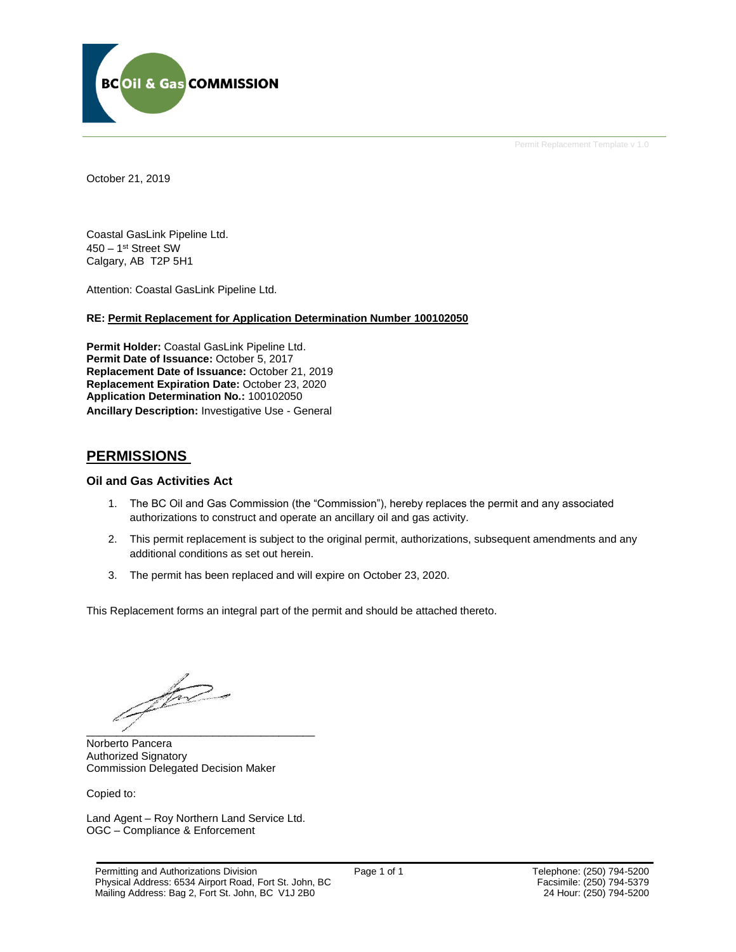

Permit Replacement Template v 1.0

October 21, 2019

Coastal GasLink Pipeline Ltd. 450 – 1 st Street SW Calgary, AB T2P 5H1

Attention: Coastal GasLink Pipeline Ltd.

#### **RE: Permit Replacement for Application Determination Number 100102050**

**Permit Holder:** Coastal GasLink Pipeline Ltd. Permit Date of Issuance: October 5, 2017 **Replacement Date of Issuance:** October 21, 2019 **Replacement Expiration Date:** October 23, 2020 **Application Determination No.:** 100102050 **Ancillary Description:** Investigative Use - General

## **PERMISSIONS**

#### **Oil and Gas Activities Act**

- 1. The BC Oil and Gas Commission (the "Commission"), hereby replaces the permit and any associated authorizations to construct and operate an ancillary oil and gas activity.
- 2. This permit replacement is subject to the original permit, authorizations, subsequent amendments and any additional conditions as set out herein.
- 3. The permit has been replaced and will expire on October 23, 2020.

This Replacement forms an integral part of the permit and should be attached thereto.

for  $\overline{\phantom{a}}$ 

Norberto Pancera Authorized Signatory Commission Delegated Decision Maker

Copied to:

Land Agent – Roy Northern Land Service Ltd. OGC – Compliance & Enforcement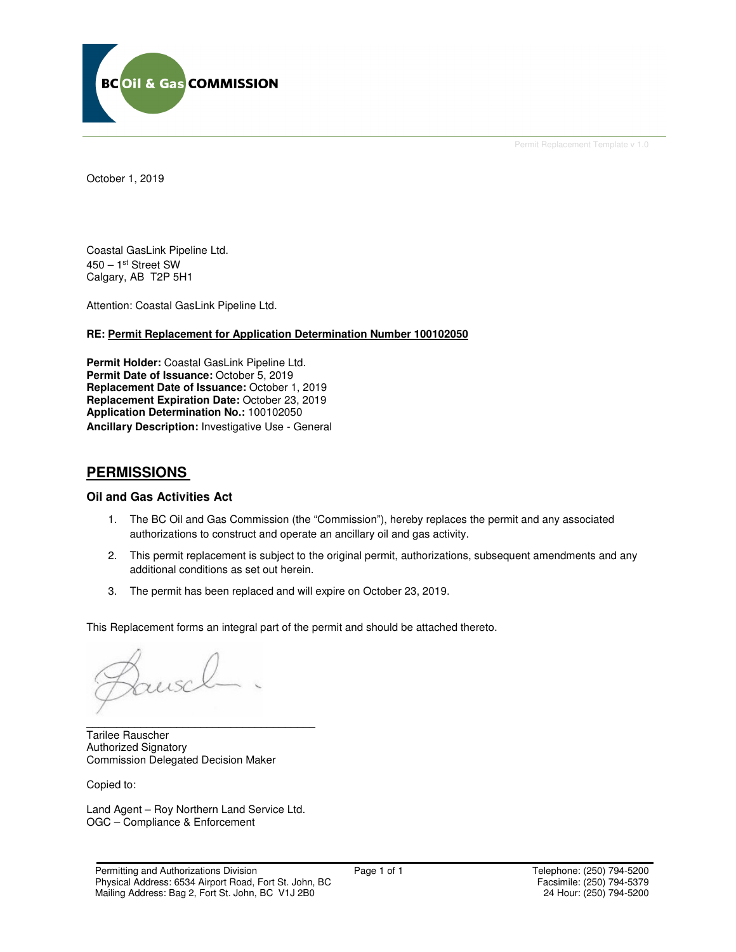

Permit Replacement Template v 1.0

October 1, 2019

Coastal GasLink Pipeline Ltd. 450 – 1st Street SW Calgary, AB T2P 5H1

Attention: Coastal GasLink Pipeline Ltd.

#### **RE: Permit Replacement for Application Determination Number 100102050**

**Permit Holder:** Coastal GasLink Pipeline Ltd. Permit Date of Issuance: October 5, 2019 **Replacement Date of Issuance:** October 1, 2019 **Replacement Expiration Date:** October 23, 2019 **Application Determination No.:** 100102050 **Ancillary Description:** Investigative Use - General

## **PERMISSIONS**

#### **Oil and Gas Activities Act**

- 1. The BC Oil and Gas Commission (the "Commission"), hereby replaces the permit and any associated authorizations to construct and operate an ancillary oil and gas activity.
- 2. This permit replacement is subject to the original permit, authorizations, subsequent amendments and any additional conditions as set out herein.
- 3. The permit has been replaced and will expire on October 23, 2019.

This Replacement forms an integral part of the permit and should be attached thereto.

Tarilee Rauscher Authorized Signatory Commission Delegated Decision Maker

Copied to:

Land Agent – Roy Northern Land Service Ltd. OGC – Compliance & Enforcement

\_\_\_\_\_\_\_\_\_\_\_\_\_\_\_\_\_\_\_\_\_\_\_\_\_\_\_\_\_\_\_\_\_\_\_\_\_\_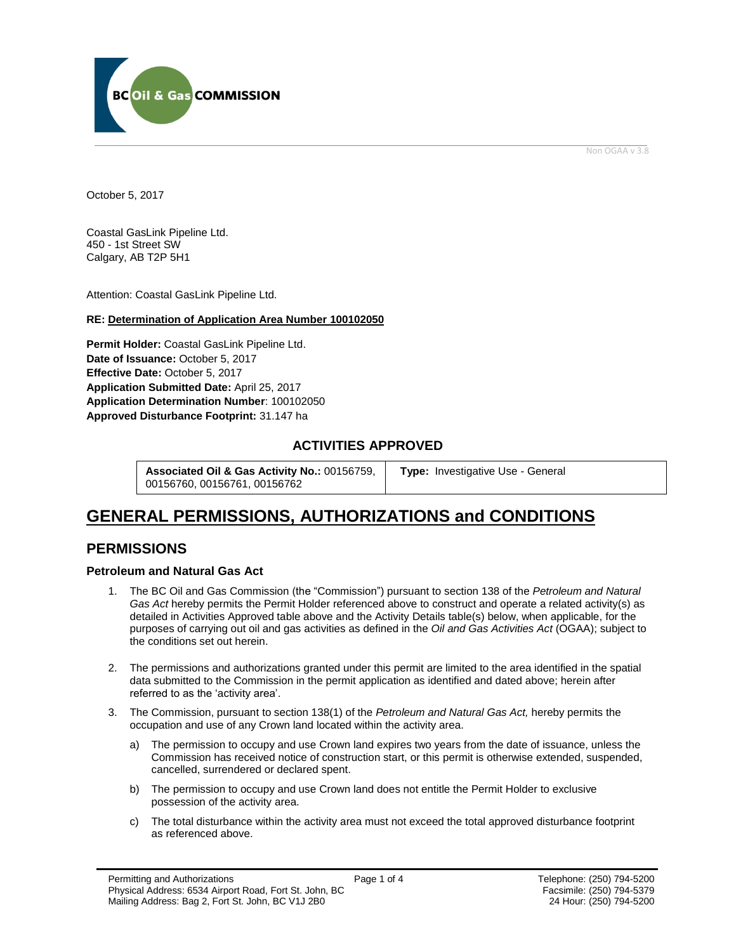

Non OGAA v 3.8

<span id="page-2-0"></span>October 5, 2017

Coastal GasLink Pipeline Ltd. 450 - 1st Street SW Calgary, AB T2P 5H1

Attention: Coastal GasLink Pipeline Ltd.

#### **RE: Determination of Application Area Number 100102050**

**Permit Holder:** Coastal GasLink Pipeline Ltd. Date of Issuance: October 5, 2017 **Effective Date:** October 5, 2017 **Application Submitted Date:** April 25, 2017 **Application Determination Number**: 100102050 **[Approved Disturbance Footprint:](#page-2-0)** 31.147 ha

## **ACTIVITIES APPROVED**

**Associated Oil & Gas Activity No.:** 00156759, 00156760, 00156761, 00156762

**[Type:](https://bi.bcogc.ca/Application%20Processing/Interactive%20Reports/(BIL-041)%20AMS%20Decision%20Summary.aspx)** Investigative Use - General

# **GENERAL [PERMISSIONS,](#page-2-0) AUTHORIZATIONS and CONDITIONS**

## **PERMISSIONS**

#### **Petroleum and Natural Gas Act**

- 1. The BC Oil and Gas Commission (the "Commission") pursuant to section 138 of the *Petroleum and Natural Gas Act* hereby permits the Permit Holder referenced above to construct and operate a related activity(s) as detailed in Activities Approved table above and the Activity Details table(s) below, when applicable, for the purposes of carrying out oil and gas activities as defined in the *Oil and Gas Activities Act* (OGAA); subject to the conditions set out herein.
- 2. The [permissions](#page-2-0) and authorizations granted under this permit are limited to the area identified in the spatial data submitted to the Commission in the permit application as identified and dated above; herein after referred to as the 'activity area'.
- 3. The Commission, pursuant to section 138(1) of the *Petroleum and Natural Gas Act,* hereby permits the occupation and use of any Crown land located within the activity area.
	- a) The permission to occupy and use Crown land expires two years from the date of issuance, unless the Commission has received notice of construction start, or this permit is otherwise extended, suspended, cancelled, surrendered or declared spent.
	- b) The permission to occupy and use Crown land does not entitle the Permit Holder to exclusive possession of the activity area.
	- c) The total disturbance within the activity area must not exceed the total approved disturbance footprint as referenced above.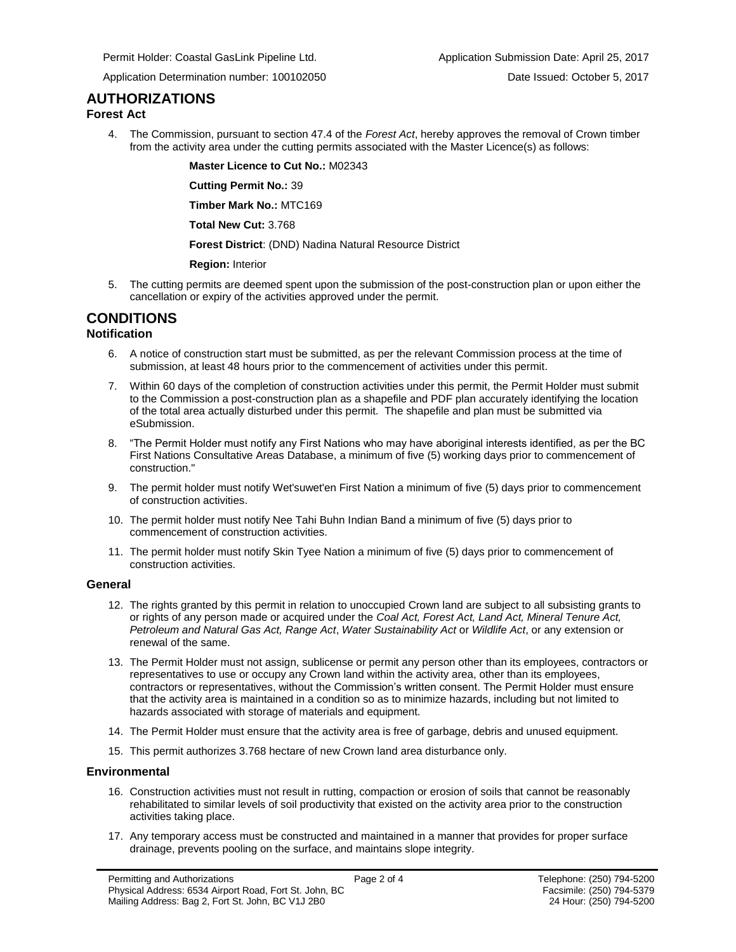Permit Holder: Coastal GasLink Pipeline Ltd. Application Submission Date: April 25, 2017

Application Determination number: 100102050 Date Issued: October 5, 2017

## **AUTHORIZATIONS**

#### **Forest Act**

4. The Commission, pursuant to section 47.4 of the *Forest Act*, hereby [approve](#page-2-0)s the removal of Crown timber from the activity area under the cutting permits associated with the Master Licence(s) as follows:

**Master Licence to Cut No.:** M02343

**Cutting Permit No.:** 39

**Timber Mark No.:** MTC169

**Total New Cut:** 3.768

**[Forest District](https://ams-crd.bcogc.ca/crd/)**: (DND) Nadina Natural Resource District

#### **Region:** Interior

5. The cutting permits are deemed spent upon the submission of the post-construction plan or upon either the cancellation or expiry of the activities [approve](#page-2-0)d under the permit.

# **CONDITIONS**

#### **Notification**

- 6. A notice of construction start must be submitted, as per the relevant Commission process at the time of submission, at least 48 hours prior to the commencement of activities under this permit.
- 7. Within 60 days of the completion of construction activities under this permit, the Permit Holder must submit to the Commission a post-construction plan as a shapefile and PDF plan accurately identifying the location of the total area actually disturbed under this permit. The shapefile and plan must be submitted via eSubmission.
- 8. "The Permit Holder must notify any First Nations who may have aboriginal interests identified, as per the BC First Nations Consultative Areas Database, a minimum of five (5) working days prior to commencement of construction."
- 9. The permit holder must notify Wet'suwet'en First Nation a minimum of five (5) days prior to commencement of construction activities.
- 10. The permit holder must notify Nee Tahi Buhn Indian Band a minimum of five (5) days prior to commencement of construction activities.
- 11. The permit holder must notify Skin Tyee Nation a minimum of five (5) days prior to commencement of construction activities.

#### **General**

- 12. The rights granted by this permit in relation to unoccupied Crown land are subject to all subsisting grants to or rights of any person made or acquired under the *Coal Act, Forest Act, Land Act, Mineral Tenure Act, Petroleum and Natural Gas Act, Range Act*, *Water Sustainability Act* or *Wildlife Act*, or any extension or renewal of the same.
- 13. The Permit Holder must not assign, sublicense or permit any person other than its employees, contractors or representatives to use or occupy any Crown land within the activity area, other than its employees, contractors or representatives, without the Commission's written consent. The Permit Holder must ensure that the activity area is maintained in a condition so as to minimize hazards, including but not limited to hazards associated with storage of materials and equipment.
- 14. The Permit Holder must ensure that the activity area is free of garbage, debris and unused equipment.
- 15. This permit authorizes 3.768 hectare of new Crown land area disturbance only.

#### **Environmental**

- 16. Construction activities must not result in rutting, compaction or erosion of soils that cannot be reasonably rehabilitated to similar levels of soil productivity that existed on the activity area prior to the construction activities taking place.
- 17. Any temporary access must be constructed and maintained in a manner that provides for proper surface drainage, prevents pooling on the surface, and maintains slope integrity.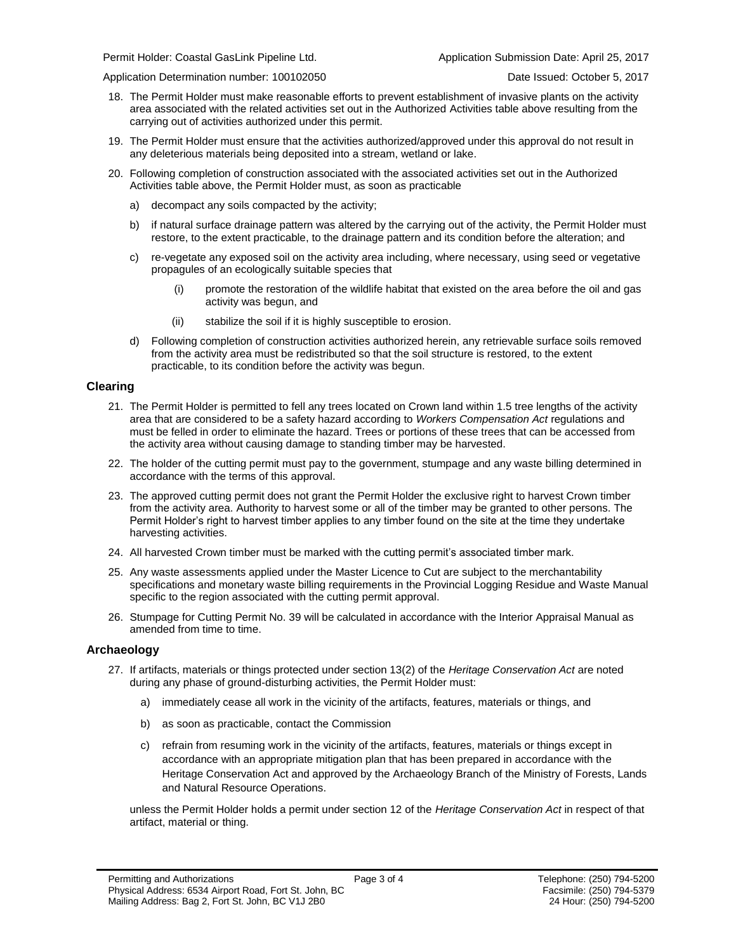Application Determination number: 100102050 Date Issued: October 5, 2017

- 
- 18. The Permit Holder must make reasonable efforts to prevent establishment of invasive plants on the activity area associated with the related activities set out in the Authorized Activities table above resulting from the carrying out of activities authorized under this permit.
- 19. The Permit Holder must ensure that the activities authorized/approved under this approval do not result in any deleterious materials being deposited into a stream, wetland or lake.
- 20. Following completion of construction associated with the associated activities set out in the Authorized Activities table above, the Permit Holder must, as soon as practicable
	- a) decompact any soils compacted by the activity;
	- b) if natural surface drainage pattern was altered by the carrying out of the activity, the Permit Holder must restore, to the extent practicable, to the drainage pattern and its condition before the alteration; and
	- c) re-vegetate any exposed soil on the activity area including, where necessary, using seed or vegetative propagules of an ecologically suitable species that
		- (i) promote the restoration of the wildlife habitat that existed on the area before the oil and gas activity was begun, and
		- (ii) stabilize the soil if it is highly susceptible to erosion.
	- d) Following completion of construction activities authorized herein, any retrievable surface soils removed from the activity area must be redistributed so that the soil structure is restored, to the extent practicable, to its condition before the activity was begun.

#### **Clearing**

- 21. The Permit Holder is permitted to fell any trees located on Crown land within 1.5 tree lengths of the activity area that are considered to be a safety hazard according to *Workers Compensation Act* regulations and must be felled in order to eliminate the hazard. Trees or portions of these trees that can be accessed from the activity area without causing damage to standing timber may be harvested.
- 22. The holder of the cutting permit must pay to the government, stumpage and any waste billing determined in accordance with the terms of this [approva](#page-2-0)l.
- 23. The [approve](#page-2-0)d cutting permit does not grant the Permit Holder the exclusive right to harvest Crown timber from the activity area. Authority to harvest some or all of the timber may be granted to other persons. The Permit Holder's right to harvest timber applies to any timber found on the site at the time they undertake harvesting activities.
- 24. All harvested Crown timber must be marked with the cutting permit's associated timber mark.
- 25. Any waste assessments applied under the Master Licence to Cut are subject to the merchantability specifications and monetary waste billing requirements in the Provincial Logging Residue and Waste Manual specific to the region associated with the cutting permi[t approva](#page-2-0)l.
- 26. Stumpage for Cutting Permit No. 39 will be calculated in accordance with the Interior Appraisal Manual as amended from time to time.

#### **Archaeology**

- 27. If artifacts, materials or things protected under section 13(2) of the *Heritage Conservation Act* are noted during any phase of ground-disturbing activities, the Permit Holder must:
	- a) immediately cease all work in the vicinity of the artifacts, features, materials or things, and
	- b) as soon as practicable, contact the Commission
	- c) refrain from resuming work in the vicinity of the artifacts, features, materials or things except in accordance with an appropriate mitigation plan that has been prepared in accordance with the Heritage Conservation Act and approved by the Archaeology Branch of the Ministry of Forests, Lands and Natural Resource Operations.

unless the Permit Holder holds a permit under section 12 of the *Heritage Conservation Act* in respect of that artifact, material or thing.